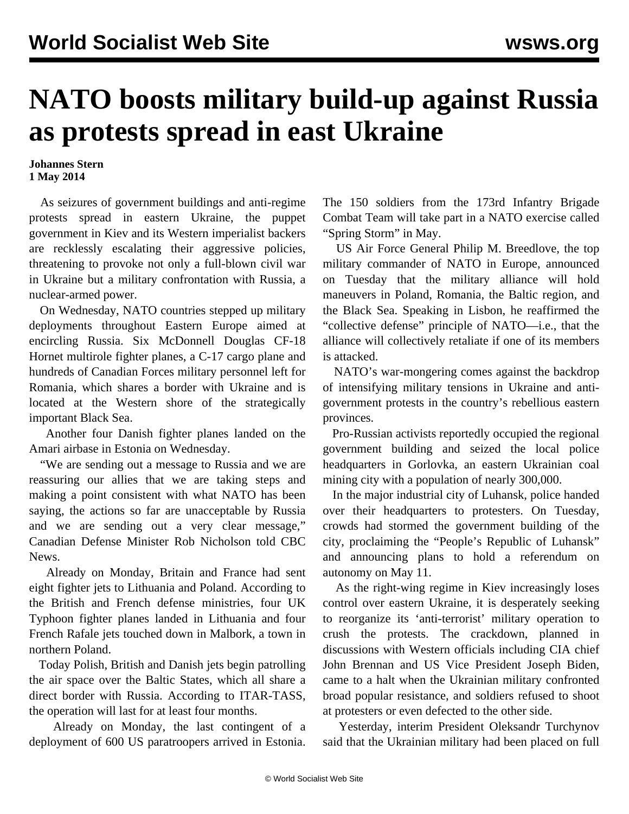## **NATO boosts military build-up against Russia as protests spread in east Ukraine**

**Johannes Stern 1 May 2014**

 As seizures of government buildings and anti-regime protests spread in eastern Ukraine, the puppet government in Kiev and its Western imperialist backers are recklessly escalating their aggressive policies, threatening to provoke not only a full-blown civil war in Ukraine but a military confrontation with Russia, a nuclear-armed power.

 On Wednesday, NATO countries stepped up military deployments throughout Eastern Europe aimed at encircling Russia. Six McDonnell Douglas CF-18 Hornet multirole fighter planes, a C-17 cargo plane and hundreds of Canadian Forces military personnel left for Romania, which shares a border with Ukraine and is located at the Western shore of the strategically important Black Sea.

 Another four Danish fighter planes landed on the Amari airbase in Estonia on Wednesday.

 "We are sending out a message to Russia and we are reassuring our allies that we are taking steps and making a point consistent with what NATO has been saying, the actions so far are unacceptable by Russia and we are sending out a very clear message," Canadian Defense Minister Rob Nicholson told CBC News.

 Already on Monday, Britain and France had sent eight fighter jets to Lithuania and Poland. According to the British and French defense ministries, four UK Typhoon fighter planes landed in Lithuania and four French Rafale jets touched down in Malbork, a town in northern Poland.

 Today Polish, British and Danish jets begin patrolling the air space over the Baltic States, which all share a direct border with Russia. According to ITAR-TASS, the operation will last for at least four months.

 Already on Monday, the last contingent of a deployment of 600 US paratroopers arrived in Estonia.

The 150 soldiers from the 173rd Infantry Brigade Combat Team will take part in a NATO exercise called "Spring Storm" in May.

 US Air Force General Philip M. Breedlove, the top military commander of NATO in Europe, announced on Tuesday that the military alliance will hold maneuvers in Poland, Romania, the Baltic region, and the Black Sea. Speaking in Lisbon, he reaffirmed the "collective defense" principle of NATO—i.e., that the alliance will collectively retaliate if one of its members is attacked.

 NATO's war-mongering comes against the backdrop of intensifying military tensions in Ukraine and antigovernment protests in the country's rebellious eastern provinces.

 Pro-Russian activists reportedly occupied the regional government building and seized the local police headquarters in Gorlovka, an eastern Ukrainian coal mining city with a population of nearly 300,000.

 In the major industrial city of Luhansk, police handed over their headquarters to protesters. On Tuesday, crowds had stormed the government building of the city, proclaiming the "People's Republic of Luhansk" and announcing plans to hold a referendum on autonomy on May 11.

 As the right-wing regime in Kiev increasingly loses control over eastern Ukraine, it is desperately seeking to reorganize its 'anti-terrorist' military operation to crush the protests. The crackdown, planned in discussions with Western officials including CIA chief John Brennan and US Vice President Joseph Biden, came to a halt when the Ukrainian military confronted broad popular resistance, and soldiers refused to shoot at protesters or even defected to the other side.

 Yesterday, interim President Oleksandr Turchynov said that the Ukrainian military had been placed on full